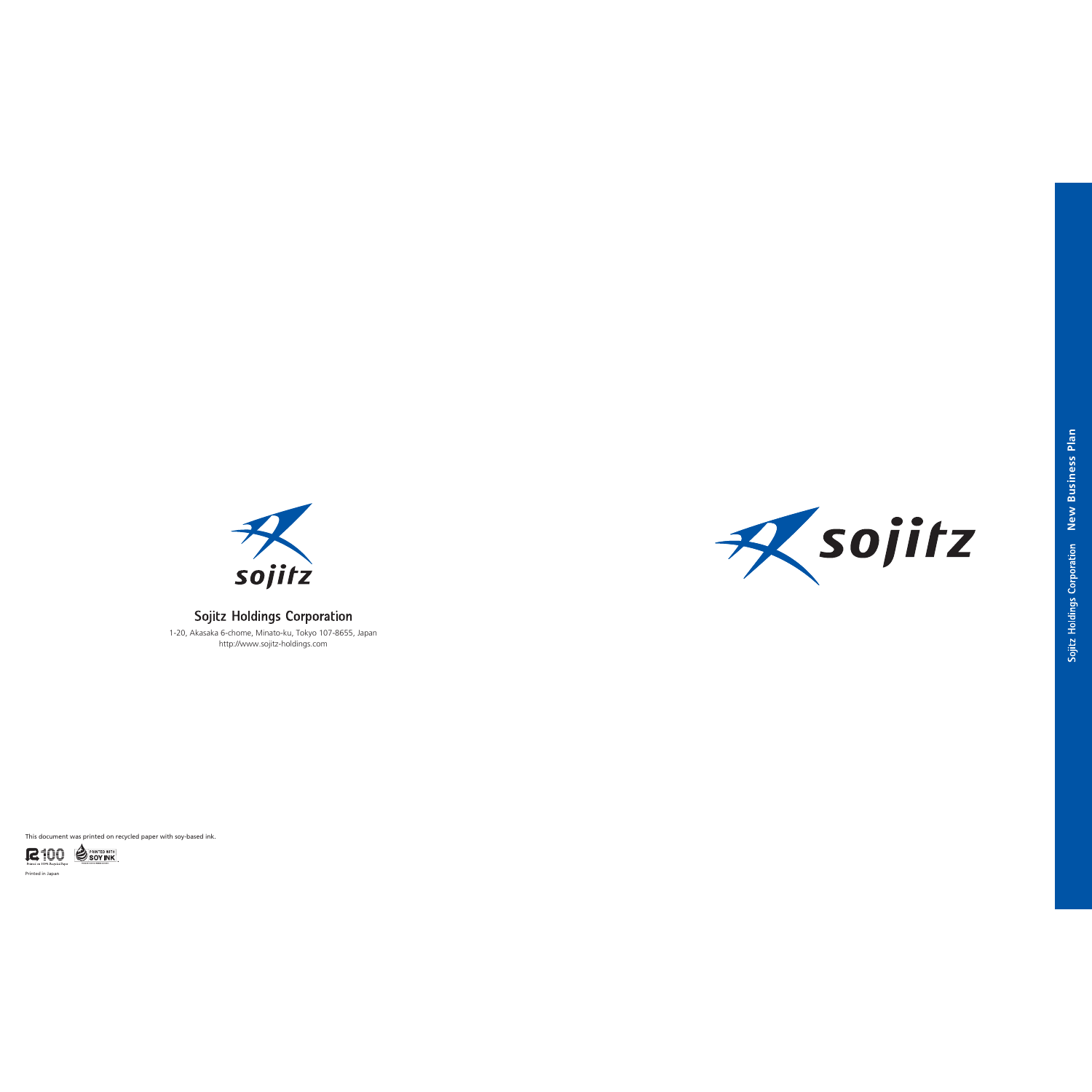



# **Sojitz Holdings Corporation**

This document was printed on recycled paper with soy-based ink.



Printed in Japan



Sojitz Holdings Corporation New Business Plan **New Business Plan**

1-20, Akasaka 6-chome, Minato-ku, Tokyo 107-8655, Japan http://www.sojitz-holdings.com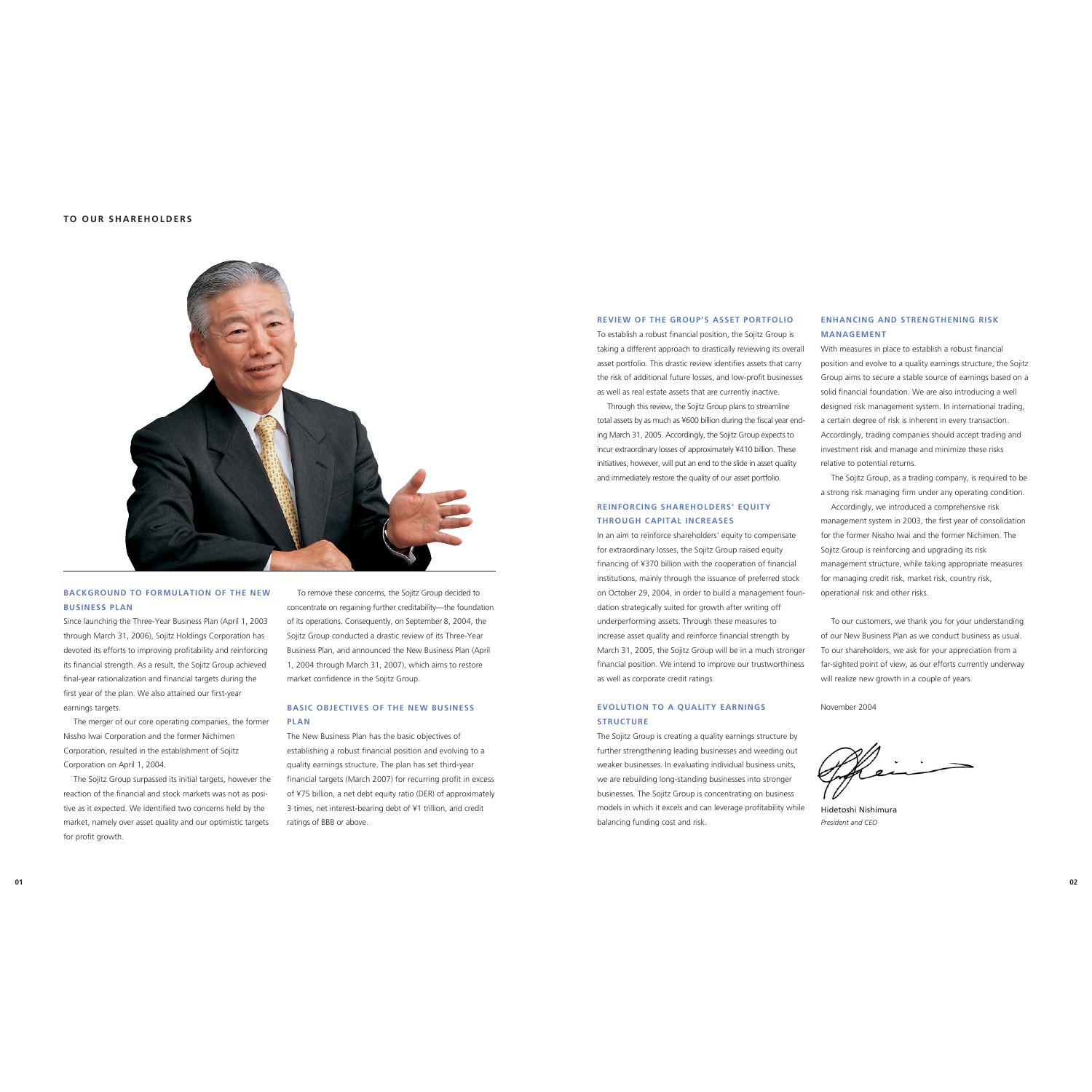#### **REVIEW OF THE GROUP'S ASSET PORTFOLIO**

To establish a robust financial position, the Sojitz Group is taking a different approach to drastically reviewing its overall asset portfolio. This drastic review identifies assets that carry the risk of additional future losses, and low-profit businesses as well as real estate assets that are currently inactive.

Through this review, the Sojitz Group plans to streamline total assets by as much as ¥600 billion during the fiscal year ending March 31, 2005. Accordingly, the Sojitz Group expects to incur extraordinary losses of approximately ¥410 billion. These initiatives, however, will put an end to the slide in asset quality and immediately restore the quality of our asset portfolio.

# **REINFORCING SHAREHOLDERS' EQUITY THROUGH CAPITAL INCREASES**

In an aim to reinforce shareholders' equity to compensate for extraordinary losses, the Sojitz Group raised equity financing of ¥370 billion with the cooperation of financial institutions, mainly through the issuance of preferred stock on October 29, 2004, in order to build a management foundation strategically suited for growth after writing off underperforming assets. Through these measures to increase asset quality and reinforce financial strength by March 31, 2005, the Sojitz Group will be in a much stronger financial position. We intend to improve our trustworthiness as well as corporate credit ratings.

# **EVOLUTION TO A QUALITY EARNINGS STRUCTURE**

The Sojitz Group is creating a quality earnings structure by further strengthening leading businesses and weeding out weaker businesses. In evaluating individual business units, we are rebuilding long-standing businesses into stronger businesses. The Sojitz Group is concentrating on business models in which it excels and can leverage profitability while balancing funding cost and risk.

# **ENHANCING AND STRENGTHENING RISKMANAGEMENT**

With measures in place to establish a robust financial position and evolve to a quality earnings structure, the Sojitz Group aims to secure a stable source of earnings based on a solid financial foundation. We are also introducing a well designed risk management system. In international trading, a certain degree of risk is inherent in every transaction. Accordingly, trading companies should accept trading and investment risk and manage and minimize these risks relative to potential returns.

The Sojitz Group, as a trading company, is required to be a strong risk managing firm under any operating condition.

Accordingly, we introduced a comprehensive risk management system in 2003, the first year of consolidation for the former Nissho Iwai and the former Nichimen. The Sojitz Group is reinforcing and upgrading its risk management structure, while taking appropriate measures for managing credit risk, market risk, country risk, operational risk and other risks.

To our customers, we thank you for your understanding of our New Business Plan as we conduct business as usual. To our shareholders, we ask for your appreciation from a far-sighted point of view, as our efforts currently underway will realize new growth in a couple of years.

November 2004

Hidetoshi Nishimura *President and CEO*



# **BACKGROUND TO FORMULATION OF THE NEWBUSINESS PLAN**

Since launching the Three-Year Business Plan (April 1, 2003 through March 31, 2006), Sojitz Holdings Corporation has devoted its efforts to improving profitability and reinforcing its financial strength. As a result, the Sojitz Group achieved final-year rationalization and financial targets during the first year of the plan. We also attained our first-year earnings targets.

The merger of our core operating companies, the former Nissho Iwai Corporation and the former Nichimen Corporation, resulted in the establishment of Sojitz Corporation on April 1, 2004.

The Sojitz Group surpassed its initial targets, however the reaction of the financial and stock markets was not as positive as it expected. We identified two concerns held by the market, namely over asset quality and our optimistic targets for profit growth.

To remove these concerns, the Sojitz Group decided to concentrate on regaining further creditability—the foundation of its operations. Consequently, on September 8, 2004, the Sojitz Group conducted a drastic review of its Three-Year Business Plan, and announced the New Business Plan (April 1, 2004 through March 31, 2007), which aims to restore market confidence in the Sojitz Group.

# **BASIC OBJECTIVES OF THE NEW BUSINESSPLAN**

The New Business Plan has the basic objectives of establishing a robust financial position and evolving to a quality earnings structure. The plan has set third-year financial targets (March 2007) for recurring profit in excess of ¥75 billion, a net debt equity ratio (DER) of approximately 3 times, net interest-bearing debt of ¥1 trillion, and credit ratings of BBB or above.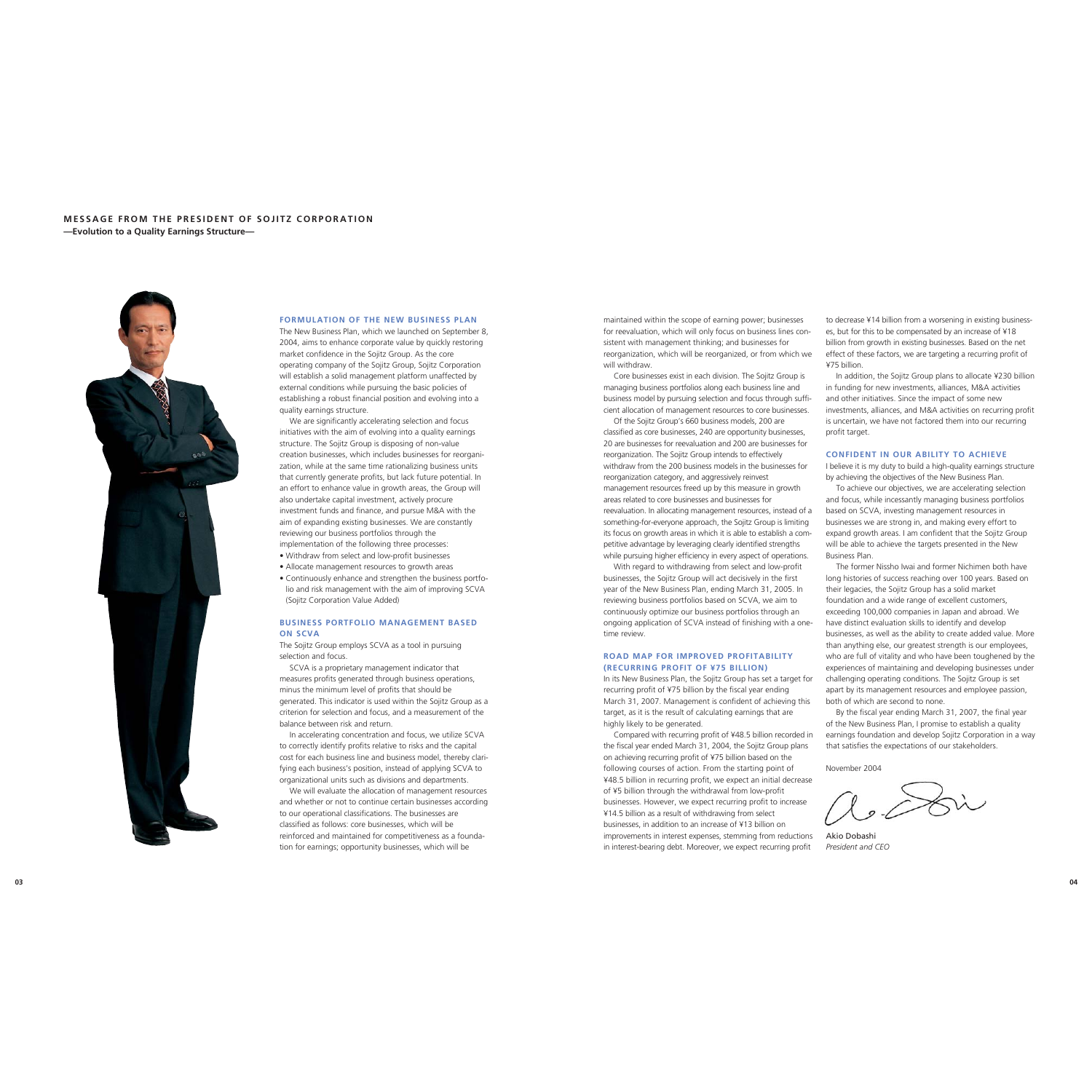to decrease ¥14 billion from a worsening in existing businesses, but for this to be compensated by an increase of ¥18 billion from growth in existing businesses. Based on the net effect of these factors, we are targeting a recurring profit of ¥75 billion. maintained within the scope of earning power; businesses for reevaluation, which will only focus on business lines consistent with management thinking; and businesses for reorganization, which will be reorganized, or from which we will withdraw.

> The former Nissho Iwai and former Nichimen both have long histories of success reaching over 100 years. Based on their legacies, the Sojitz Group has a solid market foundation and a wide range of excellent customers, exceeding 100,000 companies in Japan and abroad. We have distinct evaluation skills to identify and develop businesses, as well as the ability to create added value. More than anything else, our greatest strength is our employees, who are full of vitality and who have been toughened by the experiences of maintaining and developing businesses under challenging operating conditions. The Sojitz Group is set

In addition, the Sojitz Group plans to allocate ¥230 billion in funding for new investments, alliances, M&A activities and other initiatives. Since the impact of some new investments, alliances, and M&A activities on recurring profit is uncertain, we have not factored them into our recurring Core businesses exist in each division. The Sojitz Group is managing business portfolios along each business line and business model by pursuing selection and focus through sufficient allocation of management resources to core businesses. Of the Sojitz Group's 660 business models, 200 are

> earnings foundation and develop Sojitz Corporation in a way that satisfies the expectations of our stakeholders.

profit target. **CONFIDENT IN OUR ABILITY TO ACHIEVE** I believe it is my duty to build a high-quality earnings structure by achieving the objectives of the New Business Plan. To achieve our objectives, we are accelerating selection and focus, while incessantly managing business portfolios based on SCVA, investing management resources in businesses we are strong in, and making every effort to expand growth areas. I am confident that the Sojitz Group will be able to achieve the targets presented in the New Business Plan. classified as core businesses, 240 are opportunity businesses, 20 are businesses for reevaluation and 200 are businesses for reorganization. The Sojitz Group intends to effectively withdraw from the 200 business models in the businesses for reorganization category, and aggressively reinvest management resources freed up by this measure in growth areas related to core businesses and businesses for reevaluation. In allocating management resources, instead of a something-for-everyone approach, the Sojitz Group is limiting its focus on growth areas in which it is able to establish a competitive advantage by leveraging clearly identified strengths while pursuing higher efficiency in every aspect of operations.

November 2004

Akio Dobashi *President and CEO*

# **MESSAGE FROM THE PRESIDENT OF SOJITZ CORPORATION—Evolution to a Quality Earnings Structure—**



apart by its management resources and employee passion, both of which are second to none. By the fiscal year ending March 31, 2007, the final year of the New Business Plan, I promise to establish a quality In its New Business Plan, the Sojitz Group has set a target for recurring profit of ¥75 billion by the fiscal year ending March 31, 2007. Management is confident of achieving this target, as it is the result of calculating earnings that are highly likely to be generated.

With regard to withdrawing from select and low-profit businesses, the Sojitz Group will act decisively in the first year of the New Business Plan, ending March 31, 2005. In reviewing business portfolios based on SCVA, we aim to continuously optimize our business portfolios through an ongoing application of SCVA instead of finishing with a onetime review.

### **ROAD MAP FOR IMPROVED PROFITABILITY(RECURRING PROFIT OF ¥75 BILLION)**

Compared with recurring profit of ¥48.5 billion recorded in the fiscal year ended March 31, 2004, the Sojitz Group plans on achieving recurring profit of ¥75 billion based on the following courses of action. From the starting point of ¥48.5 billion in recurring profit, we expect an initial decrease of ¥5 billion through the withdrawal from low-profit businesses. However, we expect recurring profit to increase ¥14.5 billion as a result of withdrawing from select businesses, in addition to an increase of ¥13 billion on improvements in interest expenses, stemming from reductions in interest-bearing debt. Moreover, we expect recurring profit

#### **FORMULATION OF THE NEW BUSINESS PLAN**

The New Business Plan, which we launched on September 8, 2004, aims to enhance corporate value by quickly restoring market confidence in the Sojitz Group. As the core operating company of the Sojitz Group, Sojitz Corporation will establish a solid management platform unaffected by external conditions while pursuing the basic policies of establishing a robust financial position and evolving into a quality earnings structure.

We are significantly accelerating selection and focus initiatives with the aim of evolving into a quality earnings structure. The Sojitz Group is disposing of non-value creation businesses, which includes businesses for reorganization, while at the same time rationalizing business units that currently generate profits, but lack future potential. In an effort to enhance value in growth areas, the Group will also undertake capital investment, actively procure investment funds and finance, and pursue M&A with the aim of expanding existing businesses. We are constantly reviewing our business portfolios through the implementation of the following three processes:

- Withdraw from select and low-profit businesses
- Allocate management resources to growth areas
- Continuously enhance and strengthen the business portfolio and risk management with the aim of improving SCVA (Sojitz Corporation Value Added)

#### **BUSINESS PORTFOLIO MANAGEMENT BASEDON SCVA**

The Sojitz Group employs SCVA as a tool in pursuing selection and focus.

SCVA is a proprietary management indicator that measures profits generated through business operations, minus the minimum level of profits that should be generated. This indicator is used within the Sojitz Group as a criterion for selection and focus, and a measurement of the balance between risk and return.

In accelerating concentration and focus, we utilize SCVA to correctly identify profits relative to risks and the capital cost for each business line and business model, thereby clarifying each business's position, instead of applying SCVA to organizational units such as divisions and departments.

We will evaluate the allocation of management resources and whether or not to continue certain businesses according to our operational classifications. The businesses are classified as follows: core businesses, which will be reinforced and maintained for competitiveness as a foundation for earnings; opportunity businesses, which will be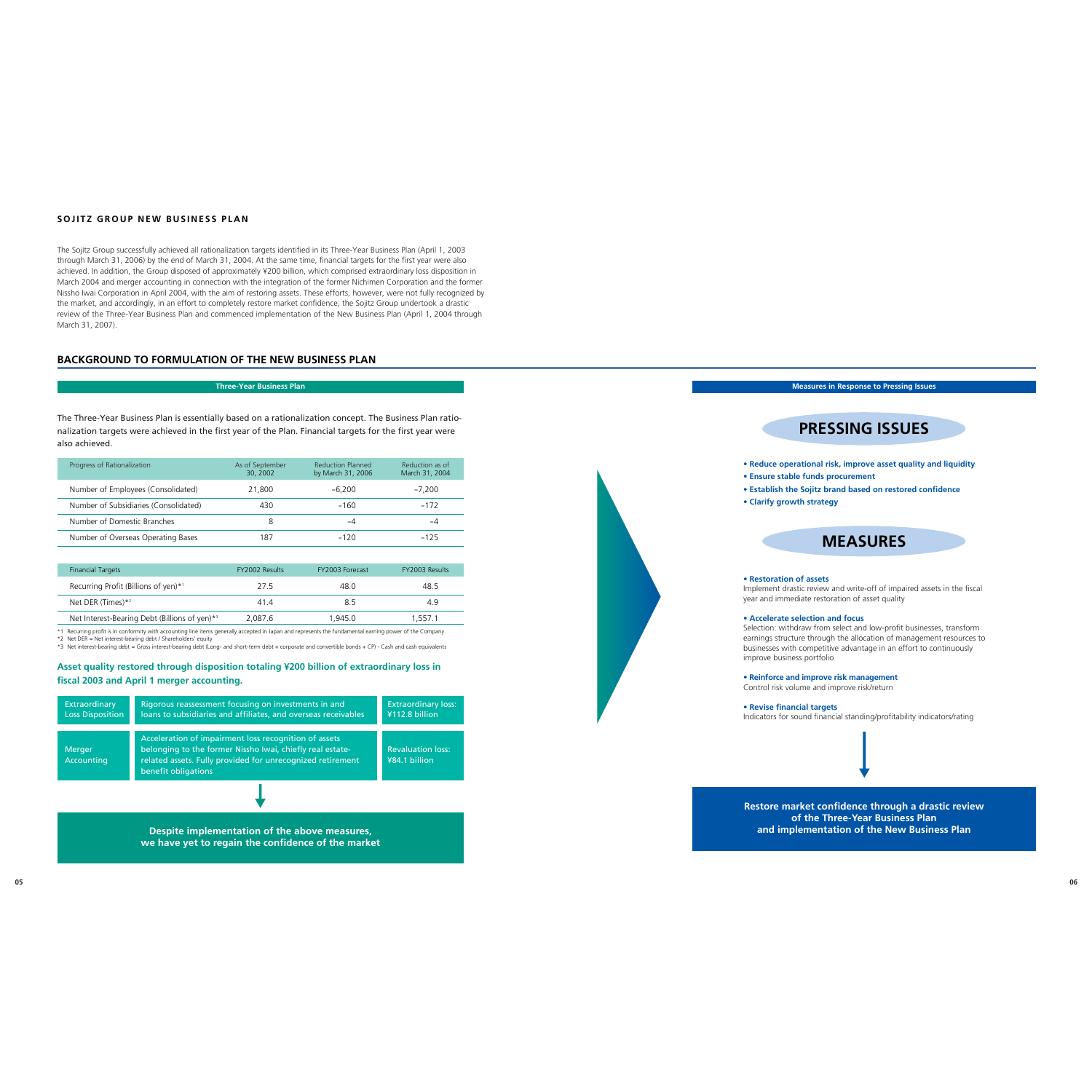# **BACKGROUND TO FORMULATION OF THE NEW BUSINESS PLAN**

# **SOJITZ GROUP NEW BUSINESS PLAN**

The Sojitz Group successfully achieved all rationalization targets identified in its Three-Year Business Plan (April 1, 2003 through March 31, 2006) by the end of March 31, 2004. At the same time, financial targets for the first year were also achieved. In addition, the Group disposed of approximately ¥200 billion, which comprised extraordinary loss disposition in March 2004 and merger accounting in connection with the integration of the former Nichimen Corporation and the former Nissho Iwai Corporation in April 2004, with the aim of restoring assets. These efforts, however, were not fully recognized by the market, and accordingly, in an effort to completely restore market confidence, the Sojitz Group undertook a drastic review of the Three-Year Business Plan and commenced implementation of the New Business Plan (April 1, 2004 through March 31, 2007).

#### **Three-Year Business Plan**

The Three-Year Business Plan is essentially based on a rationalization concept. The Business Plan rationalization targets were achieved in the first year of the Plan. Financial targets for the first year were also achieved.

| Progress of Rationalization           | As of September<br>30, 2002 | <b>Reduction Planned</b><br>by March 31, 2006 | Reduction as of<br>March 31, 2004 |
|---------------------------------------|-----------------------------|-----------------------------------------------|-----------------------------------|
| Number of Employees (Consolidated)    | 21,800                      | $-6.200$                                      | $-7.200$                          |
| Number of Subsidiaries (Consolidated) | 430                         | $-160$                                        | $-172$                            |
| Number of Domestic Branches           |                             | -4                                            | -4                                |
| Number of Overseas Operating Bases    | 187                         | $-120$                                        | $-125$                            |

| <b>Financial Targets</b>                                  | <b>FY2002 Results</b> | FY2003 Forecast | <b>FY2003 Results</b> |
|-----------------------------------------------------------|-----------------------|-----------------|-----------------------|
| Recurring Profit (Billions of yen)*1                      | 27.5                  | 48 O            | 48.5                  |
| Net DER (Times) $*2$                                      | 414                   | 85              | 4.9                   |
| Net Interest-Bearing Debt (Billions of yen)* <sup>3</sup> | 2.087.6               | 1.945.0         | 1.557.1               |

\*1 Recurring profit is in conformity with accounting line items generally accepted in Japan and represents the fundamental earning power of the Company

\*2 Net DER = Net interest-bearing debt / Shareholders' equity

\*3 Net interest-bearing debt = Gross interest-bearing debt (Long- and short-term debt + corporate and convertible bonds + CP) - Cash and cash equivalents

**Asset quality restored through disposition totaling ¥200 billion of extraordinary loss in fiscal 2003 and April 1 merger accounting.**



**Restore market confidence through a drastic review of the Three-Year Business Plan and implementation of the New Business Plan**

**Measures in Response to Pressing Issues**

# **PRESSING ISSUES**

- **Reduce operational risk, improve asset quality and liquidity**
- **Establish the Sojitz brand based on restored confidence**
	-

# **MEASURES**

Implement drastic review and write-off of impaired assets in the fiscal year and immediate restoration of asset quality



Selection: withdraw from select and low-profit businesses, transform earnings structure through the allocation of management resources to businesses with competitive advantage in an effort to continuously

**• Reinforce and improve risk management** Control risk volume and improve risk/return

**• Revise financial targets**

Indicators for sound financial standing/profitability indicators/rating



**Despite implementation of the above measures, we have yet to regain the confidence of the market**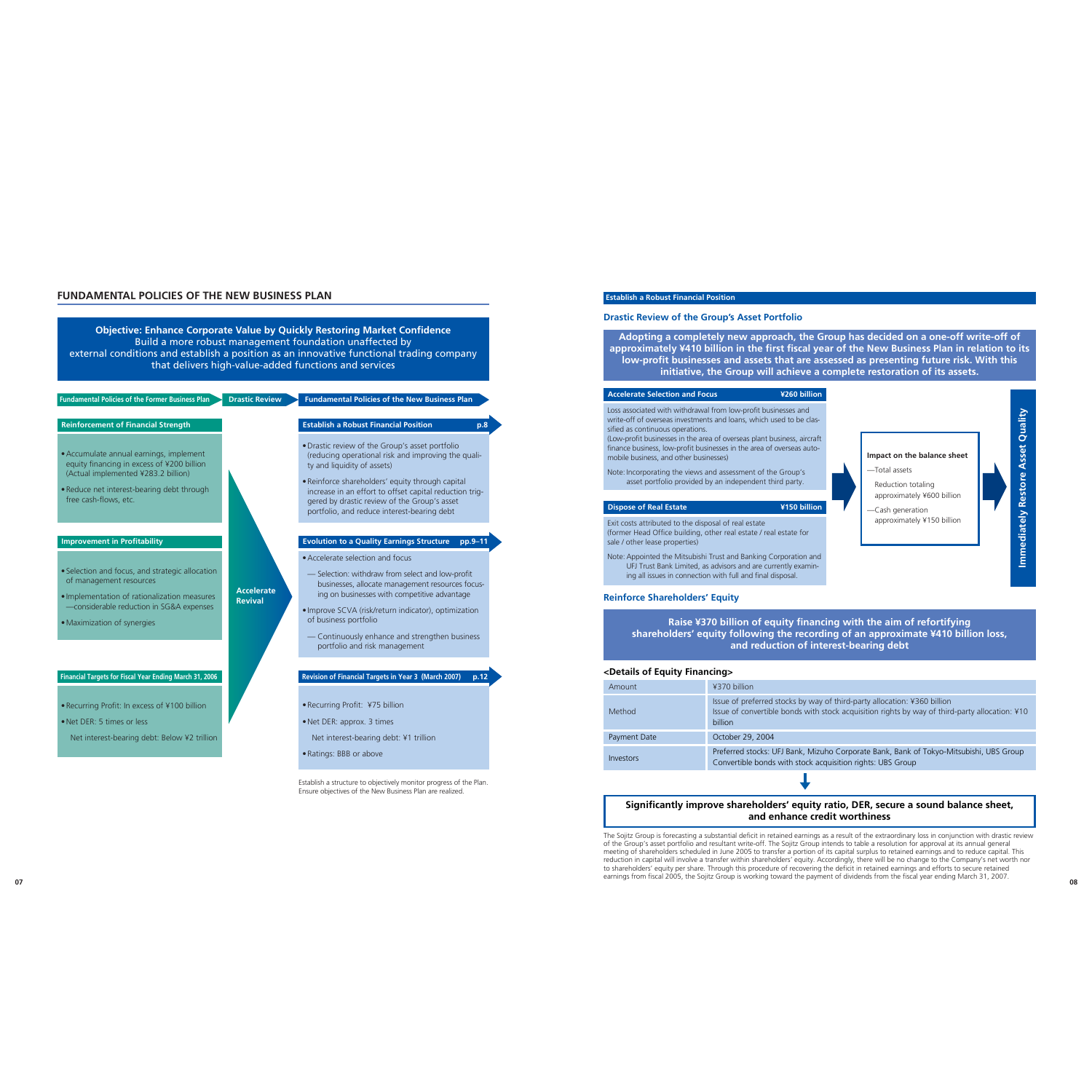**Fundamental Policies of the Former Business Plan**

### **Drastic Review > Fundamental Policies of the New Business Plan**

### **Establish a Robust Financial Position**

#### **Drastic Review of the Group's Asset Portfolio**

**Adopting a completely new approach, the Group has decided on a one-off write-off of approximately ¥410 billion in the first fiscal year of the New Business Plan in relation to its low-profit businesses and assets that are assessed as presenting future risk. With this initiative, the Group will achieve a complete restoration of its assets.**

#### **Accelerate Selection and Focus ¥260 billion**

Loss associated with withdrawal from low-profit businesses and write-off of overseas investments and loans, which used to be classified as continuous operations.

(Low-profit businesses in the area of overseas plant business, aircraft finance business, low-profit businesses in the area of overseas automobile business, and other businesses)

Note: Incorporating the views and assessment of the Group's asset portfolio provided by an independent third party.

#### **Dispose of Real Estate ¥150 billion**

Exit costs attributed to the disposal of real estate (former Head Office building, other real estate / real estate for sale / other lease properties)

Note: Appointed the Mitsubishi Trust and Banking Corporation and UFJ Trust Bank Limited, as advisors and are currently examining all issues in connection with full and final disposal.

### **Reinforce Shareholders' Equity**

**Raise ¥370 billion of equity financing with the aim of refortifying shareholders' equity following the recording of an approximate ¥410 billion loss, and reduction of interest-bearing debt**

#### **<Details of Equity Financing>**

| Amount       | ¥370 billion                                                            |
|--------------|-------------------------------------------------------------------------|
| Method       | Issue of preferred stocks by<br>Issue of convertible bonds v<br>billion |
| Payment Date | October 29, 2004                                                        |
| Investors    | Preferred stocks: UFJ Bank,<br>Convertible bonds with stor              |

# **FUNDAMENTAL POLICIES OF THE NEW BUSINESS PLAN**

**Objective: Enhance Corporate Value by Quickly Restoring Market Confidence** Build a more robust management foundation unaffected by external conditions and establish a position as an innovative functional trading company that delivers high-value-added functions and services

# **Establish a Robust Financial Position p.8**

 **08** The Sojitz Group is forecasting a substantial deficit in retained earnings as a result of the extraordinary loss in conjunction with drastic review of the Group's asset portfolio and resultant write-off. The Sojitz Group intends to table a resolution for approval at its annual general meeting of shareholders scheduled in June 2005 to transfer a portion of its capital surplus to retained earnings and to reduce capital. This reduction in capital will involve a transfer within shareholders' equity. Accordingly, there will be no change to the Company's net worth nor to shareholders' equity per share. Through this procedure of recovering the deficit in retained earnings and efforts to secure retained earnings from fiscal 2005, the Sojitz Group is working toward the payment of dividends from the fiscal year ending March 31, 2007.

- •Drastic review of the Group's asset portfolio (reducing operational risk and improving the quality and liquidity of assets)
- •Reinforce shareholders' equity through capital increase in an effort to offset capital reduction triggered by drastic review of the Group's asset portfolio, and reduce interest-bearing debt



way of third-party allocation: ¥360 billion with stock acquisition rights by way of third-party allocation: ¥10

Mizuho Corporate Bank, Bank of Tokyo-Mitsubishi, UBS Group Corporate Bank, Bank of Tokyo-Mitsubishi, UBS Group

#### **Evolution to a Quality Earnings Structure pp.9–11**

- •Accelerate selection and focus
- Selection: withdraw from select and low-profit businesses, allocate management resources focusing on businesses with competitive advantage
- Improve SCVA (risk/return indicator), optimization of business portfolio
- Continuously enhance and strengthen business portfolio and risk management

# **Revision of Financial Targets in Year 3 (March 2007) p.12**

- •Recurring Profit: ¥75 billion
- •Net DER: approx. 3 times
- Net interest-bearing debt: ¥1 trillion
- •Ratings: BBB or above

Establish a structure to objectively monitor progress of the Plan. Ensure objectives of the New Business Plan are realized.

**AccelerateRevival**

## **Reinforcement of Financial Strength**

- •Accumulate annual earnings, implement equity financing in excess of ¥200 billion (Actual implemented ¥283.2 billion)
- •Reduce net interest-bearing debt through free cash-flows, etc.

#### **Improvement in Profitability**

- Selection and focus, and strategic allocation of management resources
- Implementation of rationalization measures —considerable reduction in SG&A expenses
- •Maximization of synergies

# **Financial Targets for Fiscal Year Ending March 31, 2006**

- •Recurring Profit: In excess of ¥100 billion
- •Net DER: 5 times or less
- Net interest-bearing debt: Below ¥2 trillion

# **Significantly improve shareholders' equity ratio, DER, secure a sound balance sheet, and enhance credit worthiness**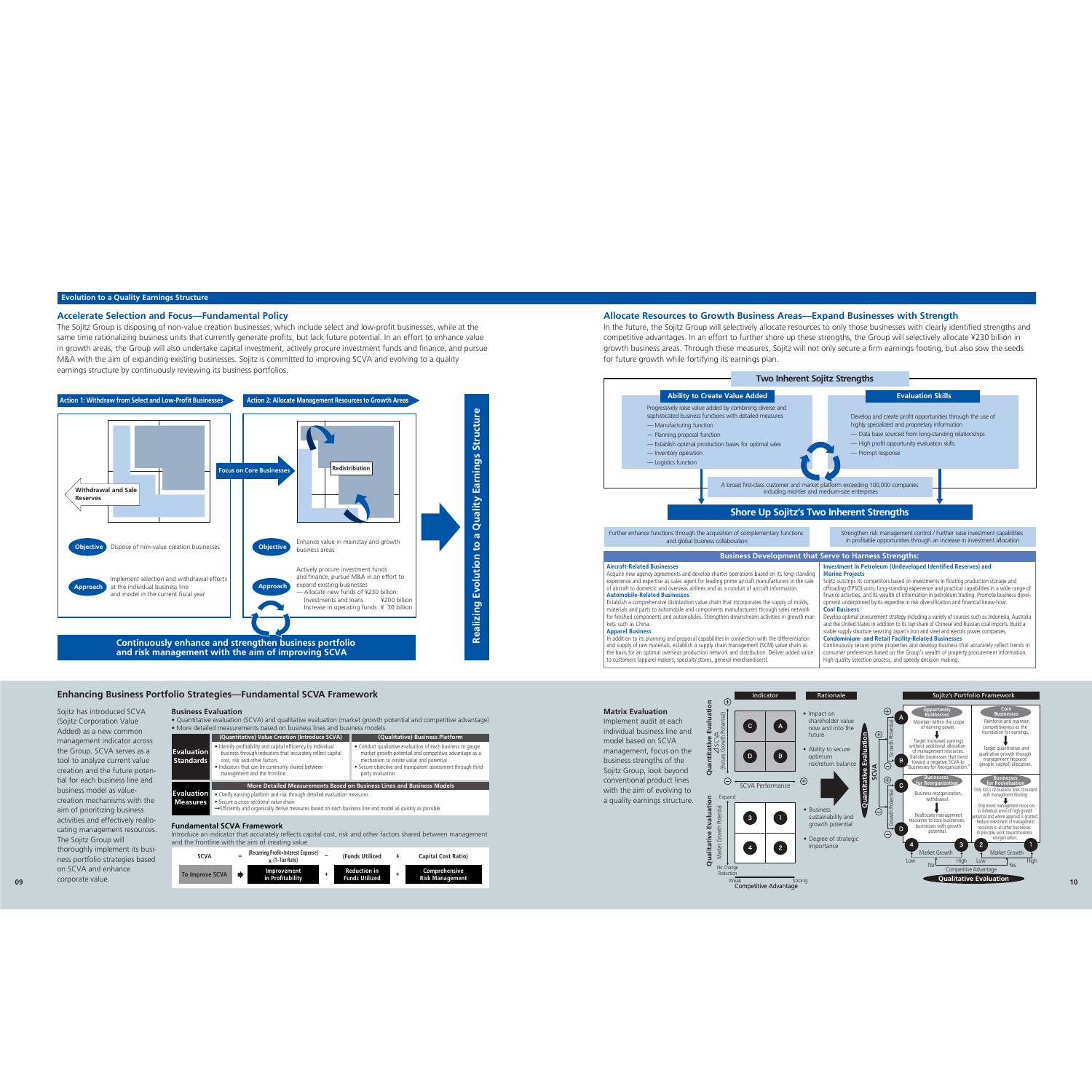# **Allocate Resources to Growth Business Areas—Expand Businesses with Strength**

In the future, the Sojitz Group will selectively allocate resources to only those businesses with clearly identified strengths and competitive advantages. In an effort to further shore up these strengths, the Group will selectively allocate ¥230 billion in growth business areas. Through these measures, Sojitz will not only secure a firm earnings footing, but also sow the seeds for future growth while fortifying its earnings plan.



### **Evolution to a Quality Earnings Structure**



Acquire new agency agreements and develop charter operations based on its long-stan experience and expertise as sales agent for leading prime aircraft manufacturers in the of aircraft to domestic and overseas airlines and as a conduit of aircraft information.

In addition to its planning and proposal capabilities in connection with the differentiation and supply of raw materials, establish a supply chain management (SCM) value chain as the basis for an optimal overseas production network and distribution. Deliver added value to customers (apparel makers, specialty stores, general merchandisers).

#### **SCVA <sup>=</sup> (Recurring Profit+Interest Expense) – (Funds Utilized <sup>x</sup> Capital Cost Ratio) x (1–Tax Rate) To Improve SCVA Improvement <sup>+</sup> Reduction in <sup>+</sup> Comprehensive in Profitability Funds Utilized Risk Management**

|                                                                                                                                                                                                         | (Quantitative) Value Creation (Introduce SCVA)                                                                                                                                                                                                                                                                                     | (Qualitative) Business Platform                                                                                                                                                                                                                     |  |
|---------------------------------------------------------------------------------------------------------------------------------------------------------------------------------------------------------|------------------------------------------------------------------------------------------------------------------------------------------------------------------------------------------------------------------------------------------------------------------------------------------------------------------------------------|-----------------------------------------------------------------------------------------------------------------------------------------------------------------------------------------------------------------------------------------------------|--|
| <b>Evaluation</b><br><b>Standards</b>                                                                                                                                                                   | • Identify profitability and capital efficiency by individual<br>business through indicators that accurately reflect capital<br>cost, risk and other factors<br>. Indicators that can be commonly shared between<br>management and the frontline                                                                                   | • Conduct qualitative evaluation of each business to gauge<br>market growth potential and competitive advantage as a<br>mechanism to create value and potential<br>• Secure objective and transparent assessment through third-<br>party evaluation |  |
| <b>Evaluation</b>                                                                                                                                                                                       | More Detailed Measurements Based on Business Lines and Business Models                                                                                                                                                                                                                                                             |                                                                                                                                                                                                                                                     |  |
| <b>Measures</b>                                                                                                                                                                                         | • Clarify earning platform and risk through detailed evaluation measures<br>• Secure a cross-sectional value chain<br>$\rightarrow$ Efficiently and organically derive measures based on each business line and model as quickly as possible                                                                                       |                                                                                                                                                                                                                                                     |  |
| <b>Fundamental SCVA Framework</b><br>Introduce an indicator that accurately reflects capital cost, risk and other factors shared between management<br>and the frontline with the aim of creating value |                                                                                                                                                                                                                                                                                                                                    |                                                                                                                                                                                                                                                     |  |
|                                                                                                                                                                                                         | $\sqrt{n}$ , $\sqrt{n}$ , $\sqrt{n}$ , $\sqrt{n}$ , $\sqrt{n}$ , $\sqrt{n}$ , $\sqrt{n}$ , $\sqrt{n}$ , $\sqrt{n}$ , $\sqrt{n}$ , $\sqrt{n}$ , $\sqrt{n}$ , $\sqrt{n}$ , $\sqrt{n}$ , $\sqrt{n}$ , $\sqrt{n}$ , $\sqrt{n}$ , $\sqrt{n}$ , $\sqrt{n}$ , $\sqrt{n}$ , $\sqrt{n}$ , $\sqrt{n}$ , $\sqrt{n}$ , $\sqrt{n}$ , $\sqrt{n}$ |                                                                                                                                                                                                                                                     |  |

#### **Aircraft-Related Businesses**



#### **Automobile-Related Businesses**

Establish a comprehensive distribution value chain that incorporates the supply of molds, materials and parts to automobile and components manufacturers through sales network for finished components and automobiles. Strengthen downstream activities in growth kets such as China.

#### **Apparel Business**

| ding                 | <b>Investment in Petroleum (Undeveloped Identified Reserves) and</b><br><b>Marine Projects</b>                                                                                                                                                                                                 |
|----------------------|------------------------------------------------------------------------------------------------------------------------------------------------------------------------------------------------------------------------------------------------------------------------------------------------|
| sale                 | Sojitz outstrips its competitors based on investments in floating production storage and<br>offloading (FPSO) units, long-standing experience and practical capabilities in a wide range of<br>finance activities, and its wealth of information in petroleum trading. Promote business devel- |
| S,                   | opment underpinned by its expertise in risk diversification and financial know-how.                                                                                                                                                                                                            |
| rk                   | <b>Coal Business</b>                                                                                                                                                                                                                                                                           |
| mar-                 | Develop optimal procurement strategy including a variety of sources such as Indonesia, Australia<br>and the United States in addition to its top share of Chinese and Russian coal imports. Build a<br>stable supply structure servicing Japan's iron and steel and electric power companies.  |
| οn.                  | <b>Condominium- and Retail Facility-Related Businesses</b>                                                                                                                                                                                                                                     |
| $\mathsf{S}$<br>alue | Continuously secure prime properties and develop business that accurately reflect trends in<br>consumer preferences based on the Group's wealth of property procurement information,<br>high-quality selection process, and speedy decision making.                                            |
|                      |                                                                                                                                                                                                                                                                                                |

# **Business Development that Serve to Harness Strengths:**

## **Accelerate Selection and Focus—Fundamental Policy**

The Sojitz Group is disposing of non-value creation businesses, which include select and low-profit businesses, while at the same time rationalizing business units that currently generate profits, but lack future potential. In an effort to enhance value in growth areas, the Group will also undertake capital investment, actively procure investment funds and finance, and pursue M&A with the aim of expanding existing businesses. Sojitz is committed to improving SCVA and evolving to a quality earnings structure by continuously reviewing its business portfolios.

#### **Matrix Evaluation**

Implement audit at each individual business line andmodel based on SCVAmanagement, focus on the business strengths of the Sojitz Group, look beyond conventional product lines with the aim of evolving to a quality earnings structure.

#### **Enhancing Business Portfolio Strategies—Fundamental SCVA Framework**

#### **Business Evaluation**

 **•** Quantitative evaluation (SCVA) and qualitative evaluation (market growth potential and competitive advantage) **•** More detailed measurements based on business lines and business models

Sojitz has introduced SCVA (Sojitz Corporation Value Added) as a new common management indicator across the Group. SCVA serves as a tool to analyze current value creation and the future potential for each business line and business model as valuecreation mechanisms with theaim of prioritizing business activities and effectively reallocating management resources. The Sojitz Group will thoroughly implement its business portfolio strategies based on SCVA and enhancecorporate value.



**Quantitative Evaluation**

**Qualitative Evaluation**

ō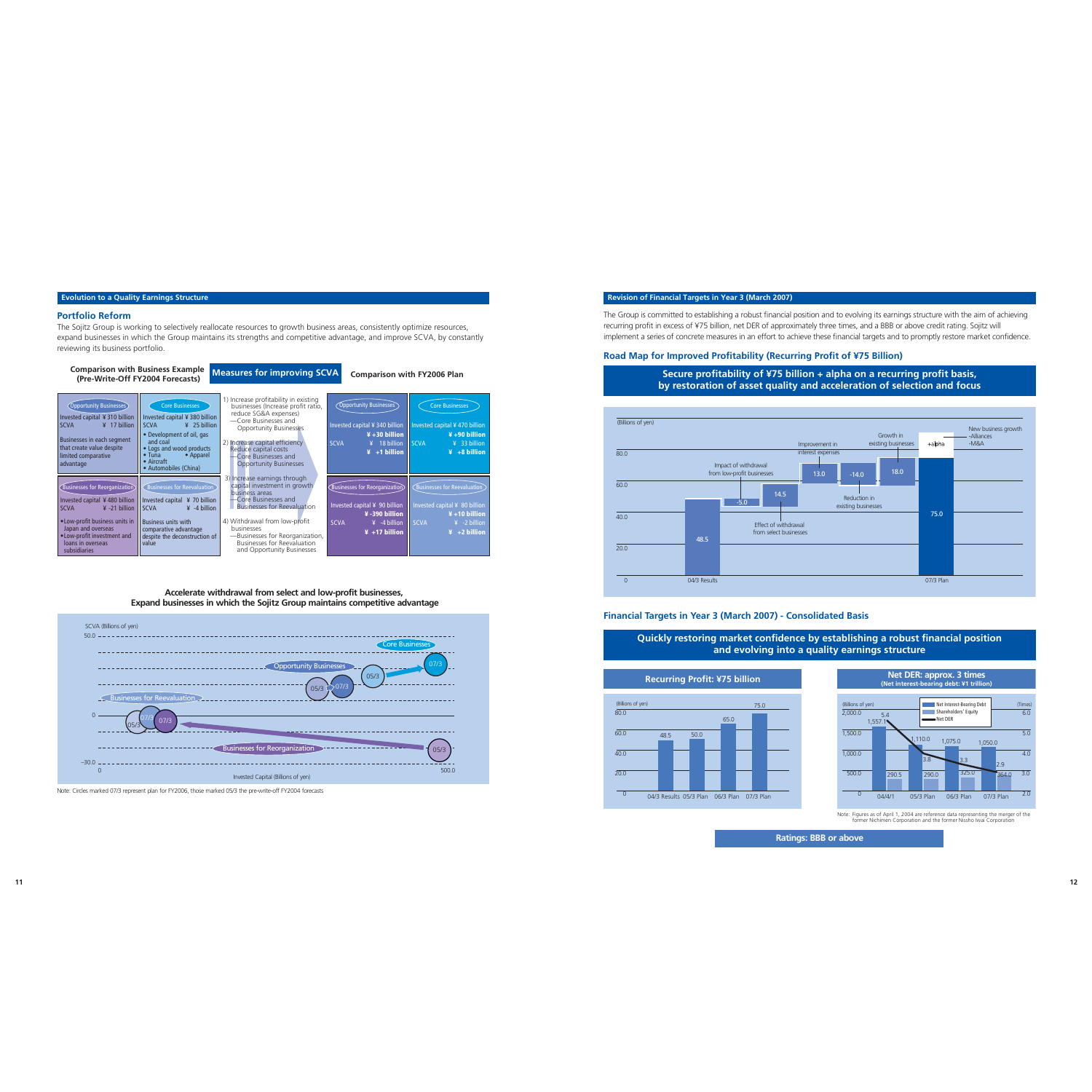### **Revision of Financial Targets in Year 3 (March 2007)**



# **Secure profitability of ¥75 billion + alpha on a recurring profit basis, by restoration of asset quality and acceleration of selection and focus**

# **Quickly restoring market confidence by establishing a robust financial position and evolving into a quality earnings structure**

# **Financial Targets in Year 3 (March 2007) - Consolidated Basis**

### **Recurring Profit: ¥75 billion**

# **Ratings: BBB or above**





Note: Figures as of April 1, 2004 are reference data representing the merger of the former Nichimen Corporation and the former Nissho Iwai Corporation

### **Evolution to a Quality Earnings Structure**



**Accelerate withdrawal from select and low-profit businesses, Expand businesses in which the Sojitz Group maintains competitive advantage**



Note: Circles marked 07/3 represent plan for FY2006, those marked 05/3 the pre-write-off FY2004 forecasts

### **Portfolio Reform**

The Sojitz Group is working to selectively reallocate resources to growth business areas, consistently optimize resources, expand businesses in which the Group maintains its strengths and competitive advantage, and improve SCVA, by constantly reviewing its business portfolio.

The Group is committed to establishing a robust financial position and to evolving its earnings structure with the aim of achieving recurring profit in excess of ¥75 billion, net DER of approximately three times, and a BBB or above credit rating. Sojitz will implement a series of concrete measures in an effort to achieve these financial targets and to promptly restore market confidence.

# **Road Map for Improved Profitability (Recurring Profit of ¥75 Billion)**